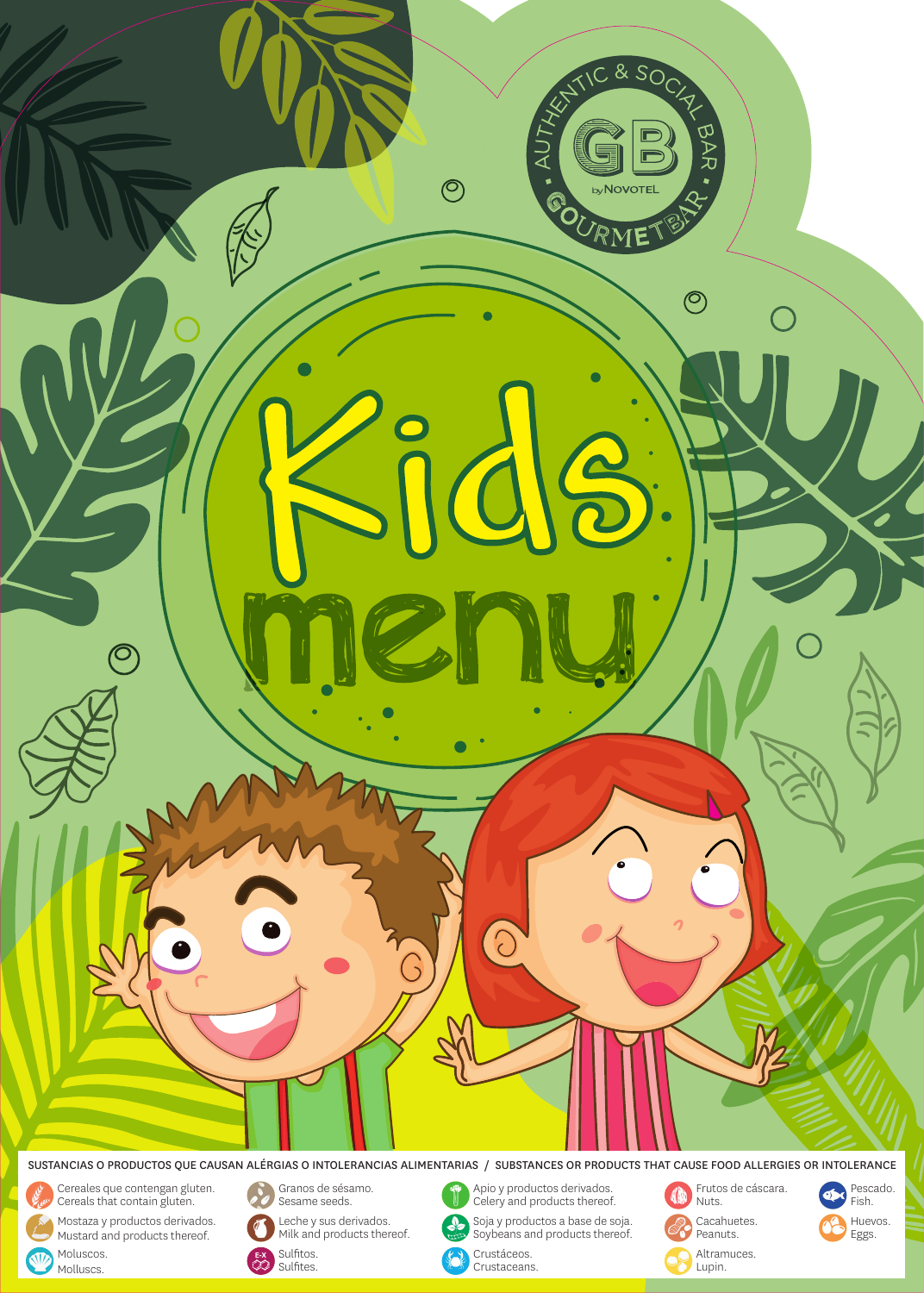

SUSTANCIAS O PRODUCTOS QUE CAUSAN ALÉRGIAS O INTOLERANCIAS ALIMENTARIAS / SUBSTANCES OR PRODUCTS THAT CAUSE FOOD ALLERGIES OR INTOLERANCE

(A

Cereales que contengan gluten. Cereals that contain gluten.

**STD** 

Moluscos. Molluscs.

Mostaza y productos derivados. Mustard and products thereof.



Granos de sésamo. Sesame seeds.

Sulfitos. Sulfites.

 $rac{E-X}{C}$ 

Leche y sus derivados. Econd y sus derivados.<br>Milk and products thereof. Apio y productos derivados. Celery and products thereof.

Soja y productos a base de soja. soya y productos a base de soya.